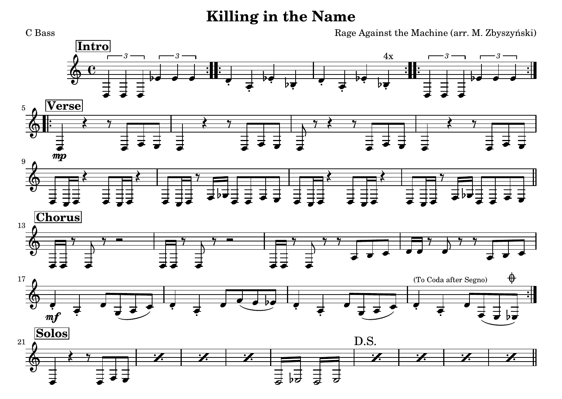## **Killing in the Name**

 Rage Against the Machine (arr. M. Zbyszyński) **[Intro](textedit:///tmp/killing_in_the_name.ly:204:4:4)***[3](textedit:///tmp/killing_in_the_name.ly:206:4:4)*[4x](textedit:///tmp/killing_in_the_name.ly:216:28:28)п *[3](textedit:///tmp/killing_in_the_name.ly:209:4:4)[3](textedit:///tmp/killing_in_the_name.ly:220:4:4)[3](textedit:///tmp/killing_in_the_name.ly:223:4:4)* $\frac{2}{9}$ ∼  $\flat$  $\flat$  $\flat$  $\flat$ 0 o 0 ç c o -0 0  $_{\rm b}$  $_{\rm b}$ č  $\frac{1}{2}$ ē O ç o o o 0 c 0 **[Verse](textedit:///tmp/killing_in_the_name.ly:228:9:9)**5 $\frac{2}{9}$  $\begin{array}{cc} \star & \star \end{array}$ ≹  $7$  $\begin{array}{cc} \star & \star \end{array}$ 7 7 ⋣  $\equiv$ ⋣ ᄇ o o ø o ø o o o o o ø 0 o o [mp](textedit:///tmp/killing_in_the_name.ly:232:8:8)9ॏ<br>क़ ≹ ≹ ≹ ≹ 7 7 Ξ  $\equiv$  $\equiv$ b b ō ō o o ø ø 0 . . ø o o o o . ..  $\bullet\ \dashv\bullet$ o o o o ਠ ø ō ਠ . 3  $\overline{\phantom{a}}$  **[Chorus](textedit:///tmp/killing_in_the_name.ly:241:11:11)**13 $\frac{2}{9}$ 7 7 7  7 7 7  $777$ ▄ ∖ Ŋ o o o o ø o  $\overline{\phantom{a}}$ o 0 0 o o o o o o o o ♦[\(To Coda after Segno\)](textedit:///tmp/killing_in_the_name.ly:249:10:10)17 $\frac{2}{9}$  $\overline{\phantom{a}}$ o ø 6 ø o  $\cdot$  , o  $\sim$   $\sim$ o o o ø O  $\mathcal{L} \rightarrow \mathcal{L}$ O そうせき そうしゃ そうしゃ ø ç b o o  $m<sub>i</sub>$ ಶ o **[Solos](textedit:///tmp/killing_in_the_name.ly:253:9:9)**[D.S.](textedit:///tmp/killing_in_the_name.ly:257:66:66)21  $\frac{1}{2}$   $\frac{1}{2}$   $\frac{1}{2}$   $\frac{1}{2}$   $\frac{1}{2}$  $\overline{\mathbf{e}}$ 닠  $h\bar{z}$ まま ø ø . .  $\bullet$ 

C Bass